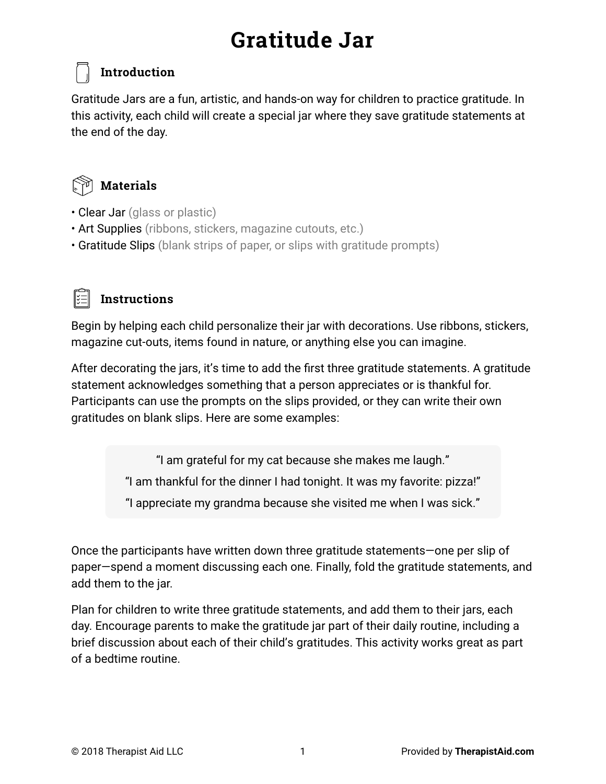### **Introduction**

Gratitude Jars are a fun, artistic, and hands-on way for children to practice gratitude. In this activity, each child will create a special jar where they save gratitude statements at the end of the day.



#### **Materials**

- Clear Jar (glass or plastic)
- Art Supplies (ribbons, stickers, magazine cutouts, etc.)
- Gratitude Slips (blank strips of paper, or slips with gratitude prompts)



#### **Instructions**

Begin by helping each child personalize their jar with decorations. Use ribbons, stickers, magazine cut-outs, items found in nature, or anything else you can imagine.

After decorating the jars, it's time to add the first three gratitude statements. A gratitude statement acknowledges something that a person appreciates or is thankful for. Participants can use the prompts on the slips provided, or they can write their own gratitudes on blank slips. Here are some examples:

> "I am grateful for my cat because she makes me laugh." "I am thankful for the dinner I had tonight. It was my favorite: pizza!" "I appreciate my grandma because she visited me when I was sick."

Once the participants have written down three gratitude statements—one per slip of paper—spend a moment discussing each one. Finally, fold the gratitude statements, and add them to the jar.

Plan for children to write three gratitude statements, and add them to their jars, each day. Encourage parents to make the gratitude jar part of their daily routine, including a brief discussion about each of their child's gratitudes. This activity works great as part of a bedtime routine.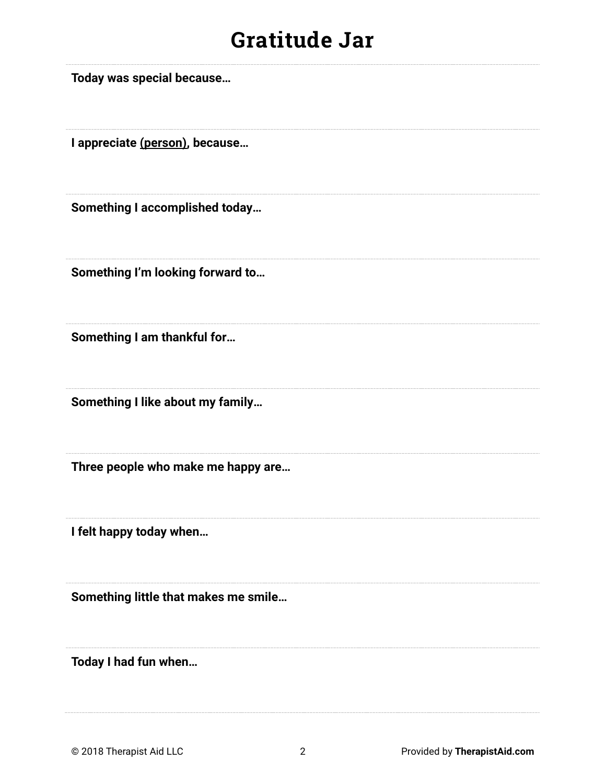**Today was special because…** 

**I appreciate (person), because…** 

**Something I accomplished today…** 

**Something I'm looking forward to…** 

**Something I am thankful for…** 

**Something I like about my family…** 

**Three people who make me happy are…** 

**I felt happy today when…** 

**Something little that makes me smile…** 

**Today I had fun when…**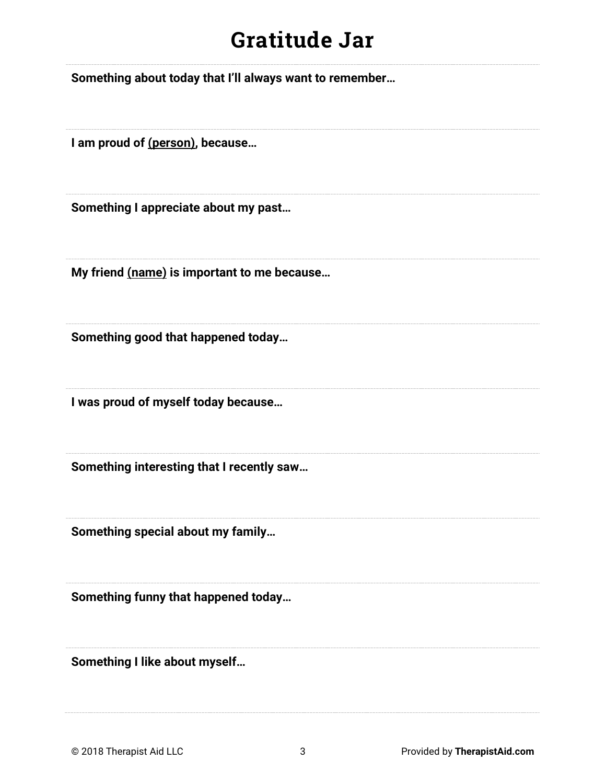**Something about today that I'll always want to remember…** 

**I am proud of (person), because…** 

**Something I appreciate about my past…** 

**My friend (name) is important to me because…** 

**Something good that happened today…** 

**I was proud of myself today because…** 

**Something interesting that I recently saw…** 

**Something special about my family…** 

**Something funny that happened today…** 

**Something I like about myself…**